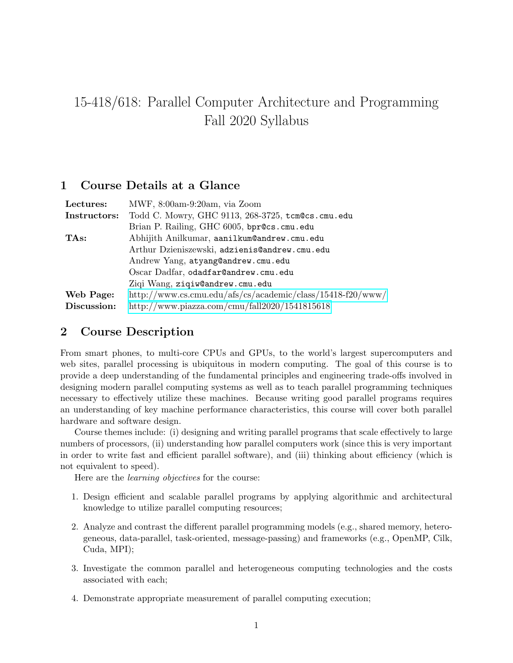# 15-418/618: Parallel Computer Architecture and Programming Fall 2020 Syllabus

## 1 Course Details at a Glance

| Lectures:    | MWF, 8:00am-9:20am, via Zoom                               |  |  |
|--------------|------------------------------------------------------------|--|--|
| Instructors: | Todd C. Mowry, GHC 9113, 268-3725, tcm@cs.cmu.edu          |  |  |
|              | Brian P. Railing, GHC 6005, bpr@cs.cmu.edu                 |  |  |
| TAs:         | Abhijith Anilkumar, aanilkum@andrew.cmu.edu                |  |  |
|              | Arthur Dzieniszewski, adzienis@andrew.cmu.edu              |  |  |
|              | Andrew Yang, atyang@andrew.cmu.edu                         |  |  |
|              | Oscar Dadfar, odadfar@andrew.cmu.edu                       |  |  |
|              | Ziqi Wang, ziqiw@andrew.cmu.edu                            |  |  |
| Web Page:    | http://www.cs.cmu.edu/afs/cs/academic/class/15418-f20/www/ |  |  |
| Discussion:  | http://www.piazza.com/cmu/fall2020/1541815618              |  |  |

# 2 Course Description

From smart phones, to multi-core CPUs and GPUs, to the world's largest supercomputers and web sites, parallel processing is ubiquitous in modern computing. The goal of this course is to provide a deep understanding of the fundamental principles and engineering trade-offs involved in designing modern parallel computing systems as well as to teach parallel programming techniques necessary to effectively utilize these machines. Because writing good parallel programs requires an understanding of key machine performance characteristics, this course will cover both parallel hardware and software design.

Course themes include: (i) designing and writing parallel programs that scale effectively to large numbers of processors, (ii) understanding how parallel computers work (since this is very important in order to write fast and efficient parallel software), and (iii) thinking about efficiency (which is not equivalent to speed).

Here are the learning objectives for the course:

- 1. Design efficient and scalable parallel programs by applying algorithmic and architectural knowledge to utilize parallel computing resources;
- 2. Analyze and contrast the different parallel programming models (e.g., shared memory, heterogeneous, data-parallel, task-oriented, message-passing) and frameworks (e.g., OpenMP, Cilk, Cuda, MPI);
- 3. Investigate the common parallel and heterogeneous computing technologies and the costs associated with each;
- 4. Demonstrate appropriate measurement of parallel computing execution;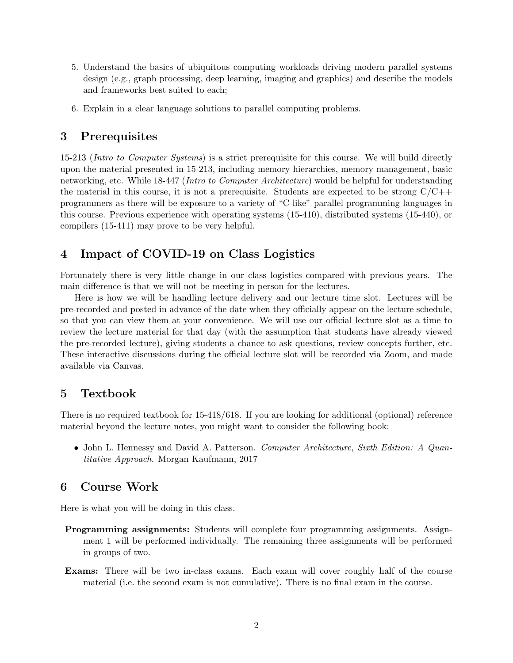- 5. Understand the basics of ubiquitous computing workloads driving modern parallel systems design (e.g., graph processing, deep learning, imaging and graphics) and describe the models and frameworks best suited to each;
- 6. Explain in a clear language solutions to parallel computing problems.

### 3 Prerequisites

15-213 (Intro to Computer Systems) is a strict prerequisite for this course. We will build directly upon the material presented in 15-213, including memory hierarchies, memory management, basic networking, etc. While 18-447 (Intro to Computer Architecture) would be helpful for understanding the material in this course, it is not a prerequisite. Students are expected to be strong  $C/C++$ programmers as there will be exposure to a variety of "C-like" parallel programming languages in this course. Previous experience with operating systems (15-410), distributed systems (15-440), or compilers (15-411) may prove to be very helpful.

## 4 Impact of COVID-19 on Class Logistics

Fortunately there is very little change in our class logistics compared with previous years. The main difference is that we will not be meeting in person for the lectures.

Here is how we will be handling lecture delivery and our lecture time slot. Lectures will be pre-recorded and posted in advance of the date when they officially appear on the lecture schedule, so that you can view them at your convenience. We will use our official lecture slot as a time to review the lecture material for that day (with the assumption that students have already viewed the pre-recorded lecture), giving students a chance to ask questions, review concepts further, etc. These interactive discussions during the official lecture slot will be recorded via Zoom, and made available via Canvas.

#### 5 Textbook

There is no required textbook for 15-418/618. If you are looking for additional (optional) reference material beyond the lecture notes, you might want to consider the following book:

• John L. Hennessy and David A. Patterson. Computer Architecture, Sixth Edition: A Quantitative Approach. Morgan Kaufmann, 2017

## 6 Course Work

Here is what you will be doing in this class.

- **Programming assignments:** Students will complete four programming assignments. Assignment 1 will be performed individually. The remaining three assignments will be performed in groups of two.
- Exams: There will be two in-class exams. Each exam will cover roughly half of the course material (i.e. the second exam is not cumulative). There is no final exam in the course.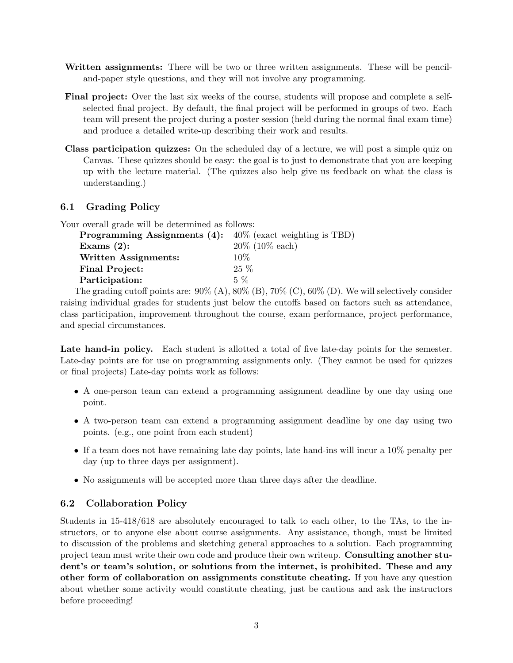- Written assignments: There will be two or three written assignments. These will be penciland-paper style questions, and they will not involve any programming.
- Final project: Over the last six weeks of the course, students will propose and complete a selfselected final project. By default, the final project will be performed in groups of two. Each team will present the project during a poster session (held during the normal final exam time) and produce a detailed write-up describing their work and results.
- Class participation quizzes: On the scheduled day of a lecture, we will post a simple quiz on Canvas. These quizzes should be easy: the goal is to just to demonstrate that you are keeping up with the lecture material. (The quizzes also help give us feedback on what the class is understanding.)

#### 6.1 Grading Policy

Your overall grade will be determined as follows:

| <b>Programming Assignments (4):</b> $40\%$ (exact weighting is TBD) |                    |
|---------------------------------------------------------------------|--------------------|
| Exams $(2)$ :                                                       | $20\%$ (10\% each) |
| Written Assignments:                                                | 10%                |
| <b>Final Project:</b>                                               | $25\%$             |
| Participation:                                                      | $5\%$              |
|                                                                     |                    |

The grading cutoff points are:  $90\%$  (A),  $80\%$  (B),  $70\%$  (C),  $60\%$  (D). We will selectively consider raising individual grades for students just below the cutoffs based on factors such as attendance, class participation, improvement throughout the course, exam performance, project performance, and special circumstances.

Late hand-in policy. Each student is allotted a total of five late-day points for the semester. Late-day points are for use on programming assignments only. (They cannot be used for quizzes or final projects) Late-day points work as follows:

- A one-person team can extend a programming assignment deadline by one day using one point.
- A two-person team can extend a programming assignment deadline by one day using two points. (e.g., one point from each student)
- If a team does not have remaining late day points, late hand-ins will incur a 10% penalty per day (up to three days per assignment).
- No assignments will be accepted more than three days after the deadline.

#### 6.2 Collaboration Policy

Students in 15-418/618 are absolutely encouraged to talk to each other, to the TAs, to the instructors, or to anyone else about course assignments. Any assistance, though, must be limited to discussion of the problems and sketching general approaches to a solution. Each programming project team must write their own code and produce their own writeup. Consulting another student's or team's solution, or solutions from the internet, is prohibited. These and any other form of collaboration on assignments constitute cheating. If you have any question about whether some activity would constitute cheating, just be cautious and ask the instructors before proceeding!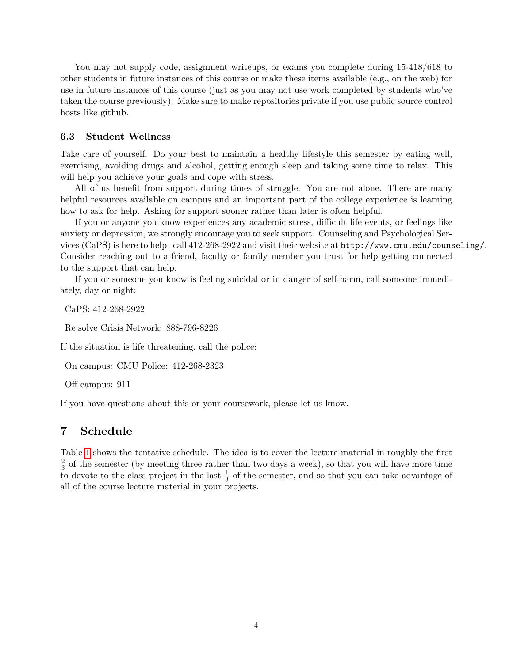You may not supply code, assignment writeups, or exams you complete during 15-418/618 to other students in future instances of this course or make these items available (e.g., on the web) for use in future instances of this course (just as you may not use work completed by students who've taken the course previously). Make sure to make repositories private if you use public source control hosts like github.

#### 6.3 Student Wellness

Take care of yourself. Do your best to maintain a healthy lifestyle this semester by eating well, exercising, avoiding drugs and alcohol, getting enough sleep and taking some time to relax. This will help you achieve your goals and cope with stress.

All of us benefit from support during times of struggle. You are not alone. There are many helpful resources available on campus and an important part of the college experience is learning how to ask for help. Asking for support sooner rather than later is often helpful.

If you or anyone you know experiences any academic stress, difficult life events, or feelings like anxiety or depression, we strongly encourage you to seek support. Counseling and Psychological Services (CaPS) is here to help: call 412-268-2922 and visit their website at http://www.cmu.edu/counseling/. Consider reaching out to a friend, faculty or family member you trust for help getting connected to the support that can help.

If you or someone you know is feeling suicidal or in danger of self-harm, call someone immediately, day or night:

CaPS: 412-268-2922

Re:solve Crisis Network: 888-796-8226

If the situation is life threatening, call the police:

On campus: CMU Police: 412-268-2323

Off campus: 911

If you have questions about this or your coursework, please let us know.

#### 7 Schedule

Table [1](#page-4-0) shows the tentative schedule. The idea is to cover the lecture material in roughly the first 2  $\frac{2}{3}$  of the semester (by meeting three rather than two days a week), so that you will have more time to devote to the class project in the last  $\frac{1}{3}$  of the semester, and so that you can take advantage of all of the course lecture material in your projects.